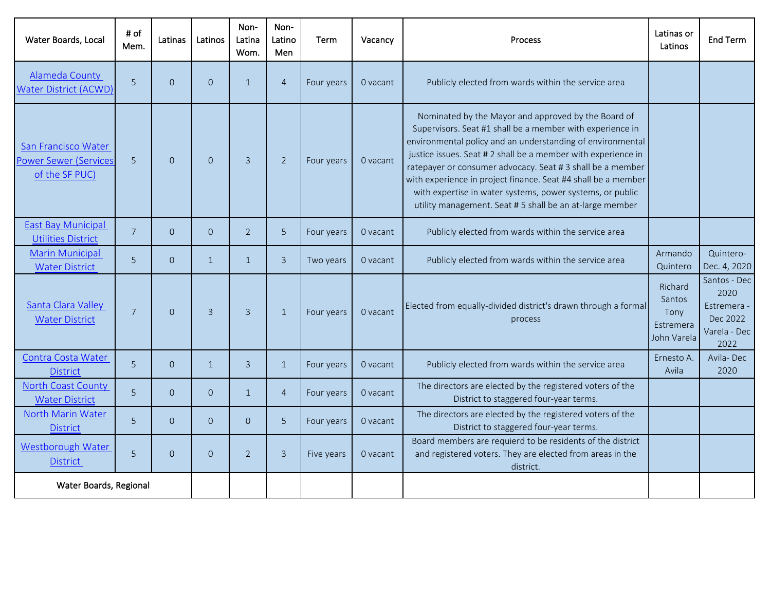| Water Boards, Local                                                   | # of<br>Mem.   | Latinas  | Latinos        | Non-<br>Latina<br>Wom. | Non-<br>Latino<br>Men | Term       | Vacancy  | <b>Process</b>                                                                                                                                                                                                                                                                                                                                                                                                                                                                                        | Latinas or<br>Latinos                                 | <b>End Term</b>                                                         |
|-----------------------------------------------------------------------|----------------|----------|----------------|------------------------|-----------------------|------------|----------|-------------------------------------------------------------------------------------------------------------------------------------------------------------------------------------------------------------------------------------------------------------------------------------------------------------------------------------------------------------------------------------------------------------------------------------------------------------------------------------------------------|-------------------------------------------------------|-------------------------------------------------------------------------|
| <b>Alameda County</b><br><b>Water District (ACWD)</b>                 | 5              | $\Omega$ | $\Omega$       | $\mathbf{1}$           | $\overline{4}$        | Four years | 0 vacant | Publicly elected from wards within the service area                                                                                                                                                                                                                                                                                                                                                                                                                                                   |                                                       |                                                                         |
| San Francisco Water<br><b>Power Sewer (Services</b><br>of the SF PUC) | 5              | $\Omega$ | $\Omega$       | $\overline{3}$         | $\overline{2}$        | Four years | 0 vacant | Nominated by the Mayor and approved by the Board of<br>Supervisors. Seat #1 shall be a member with experience in<br>environmental policy and an understanding of environmental<br>justice issues. Seat # 2 shall be a member with experience in<br>ratepayer or consumer advocacy. Seat #3 shall be a member<br>with experience in project finance. Seat #4 shall be a member<br>with expertise in water systems, power systems, or public<br>utility management. Seat #5 shall be an at-large member |                                                       |                                                                         |
| <b>East Bay Municipal</b><br><b>Utilities District</b>                | $\overline{7}$ | $\Omega$ | $\Omega$       | $\overline{2}$         | 5                     | Four years | 0 vacant | Publicly elected from wards within the service area                                                                                                                                                                                                                                                                                                                                                                                                                                                   |                                                       |                                                                         |
| <b>Marin Municipal</b><br><b>Water District</b>                       | 5              | $\Omega$ | $\mathbf{1}$   | $\mathbf{1}$           | $\overline{3}$        | Two years  | 0 vacant | Publicly elected from wards within the service area                                                                                                                                                                                                                                                                                                                                                                                                                                                   | Armando<br>Quintero                                   | Quintero-<br>Dec. 4, 2020                                               |
| Santa Clara Valley<br><b>Water District</b>                           | $\overline{7}$ | $\Omega$ | $\overline{3}$ | $\overline{3}$         | $\mathbf{1}$          | Four years | 0 vacant | Elected from equally-divided district's drawn through a formal<br>process                                                                                                                                                                                                                                                                                                                                                                                                                             | Richard<br>Santos<br>Tony<br>Estremera<br>John Varela | Santos - Dec<br>2020<br>Estremera -<br>Dec 2022<br>Varela - Dec<br>2022 |
| Contra Costa Water<br><b>District</b>                                 | 5              | $\Omega$ | $\mathbf{1}$   | $\overline{3}$         | $\mathbf{1}$          | Four years | 0 vacant | Publicly elected from wards within the service area                                                                                                                                                                                                                                                                                                                                                                                                                                                   | Ernesto A.<br>Avila                                   | Avila-Dec<br>2020                                                       |
| <b>North Coast County</b><br><b>Water District</b>                    | 5              | $\Omega$ | $\Omega$       | $\mathbf{1}$           | $\overline{4}$        | Four years | 0 vacant | The directors are elected by the registered voters of the<br>District to staggered four-year terms.                                                                                                                                                                                                                                                                                                                                                                                                   |                                                       |                                                                         |
| North Marin Water<br><b>District</b>                                  | 5 <sup>1</sup> | $\Omega$ | $\Omega$       | $\overline{0}$         | 5                     | Four years | 0 vacant | The directors are elected by the registered voters of the<br>District to staggered four-year terms.                                                                                                                                                                                                                                                                                                                                                                                                   |                                                       |                                                                         |
| Westborough Water<br><b>District</b>                                  | 5              | $\Omega$ | $\Omega$       | $\overline{2}$         | $\overline{3}$        | Five years | 0 vacant | Board members are requierd to be residents of the district<br>and registered voters. They are elected from areas in the<br>district.                                                                                                                                                                                                                                                                                                                                                                  |                                                       |                                                                         |
| Water Boards, Regional                                                |                |          |                |                        |                       |            |          |                                                                                                                                                                                                                                                                                                                                                                                                                                                                                                       |                                                       |                                                                         |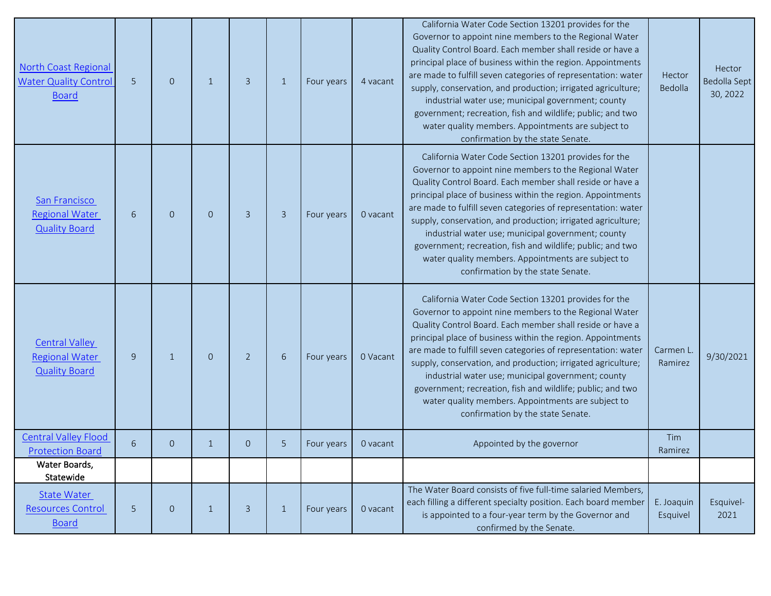| North Coast Regional<br><b>Water Quality Control</b><br><b>Board</b>   | 5 | $\overline{0}$ | $\mathbf{1}$ | $\overline{3}$ | $\mathbf{1}$   | Four years | 4 vacant | California Water Code Section 13201 provides for the<br>Governor to appoint nine members to the Regional Water<br>Quality Control Board. Each member shall reside or have a<br>principal place of business within the region. Appointments<br>are made to fulfill seven categories of representation: water<br>supply, conservation, and production; irrigated agriculture;<br>industrial water use; municipal government; county<br>government; recreation, fish and wildlife; public; and two<br>water quality members. Appointments are subject to<br>confirmation by the state Senate. | Hector<br>Bedolla      | Hector<br>Bedolla Sept<br>30, 2022 |
|------------------------------------------------------------------------|---|----------------|--------------|----------------|----------------|------------|----------|--------------------------------------------------------------------------------------------------------------------------------------------------------------------------------------------------------------------------------------------------------------------------------------------------------------------------------------------------------------------------------------------------------------------------------------------------------------------------------------------------------------------------------------------------------------------------------------------|------------------------|------------------------------------|
| San Francisco<br><b>Regional Water</b><br><b>Quality Board</b>         | 6 | $\overline{0}$ | $\Omega$     | 3              | $\overline{3}$ | Four years | 0 vacant | California Water Code Section 13201 provides for the<br>Governor to appoint nine members to the Regional Water<br>Quality Control Board. Each member shall reside or have a<br>principal place of business within the region. Appointments<br>are made to fulfill seven categories of representation: water<br>supply, conservation, and production; irrigated agriculture;<br>industrial water use; municipal government; county<br>government; recreation, fish and wildlife; public; and two<br>water quality members. Appointments are subject to<br>confirmation by the state Senate. |                        |                                    |
| <b>Central Valley</b><br><b>Regional Water</b><br><b>Quality Board</b> | 9 | $\mathbf{1}$   | $\Omega$     | $\overline{2}$ | 6              | Four years | 0 Vacant | California Water Code Section 13201 provides for the<br>Governor to appoint nine members to the Regional Water<br>Quality Control Board. Each member shall reside or have a<br>principal place of business within the region. Appointments<br>are made to fulfill seven categories of representation: water<br>supply, conservation, and production; irrigated agriculture;<br>industrial water use; municipal government; county<br>government; recreation, fish and wildlife; public; and two<br>water quality members. Appointments are subject to<br>confirmation by the state Senate. | Carmen L<br>Ramirez    | 9/30/2021                          |
| <b>Central Valley Flood</b><br><b>Protection Board</b>                 | 6 | $\overline{0}$ | -1           | $\overline{0}$ | 5              | Four years | 0 vacant | Appointed by the governor                                                                                                                                                                                                                                                                                                                                                                                                                                                                                                                                                                  | Tim<br>Ramirez         |                                    |
| Water Boards,<br>Statewide                                             |   |                |              |                |                |            |          |                                                                                                                                                                                                                                                                                                                                                                                                                                                                                                                                                                                            |                        |                                    |
| <b>State Water</b><br><b>Resources Control</b><br><b>Board</b>         | 5 | $\overline{0}$ | $\mathbf{1}$ | $\overline{3}$ | $\mathbf{1}$   | Four years | 0 vacant | The Water Board consists of five full-time salaried Members,<br>each filling a different specialty position. Each board member<br>is appointed to a four-year term by the Governor and<br>confirmed by the Senate.                                                                                                                                                                                                                                                                                                                                                                         | E. Joaquin<br>Esquivel | Esquivel-<br>2021                  |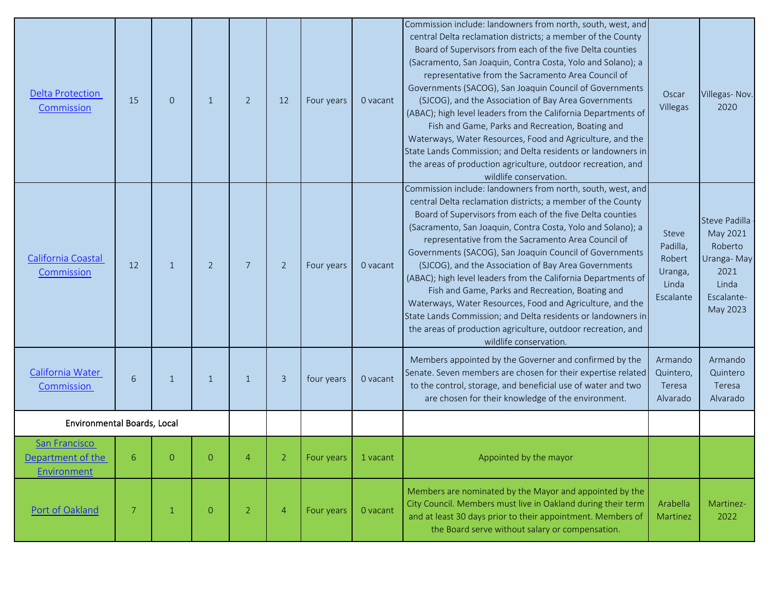| <b>Delta Protection</b><br>Commission                    | 15 | $\Omega$       | $\mathbf{1}$   | $\overline{2}$ | 12             | Four years | 0 vacant | Commission include: landowners from north, south, west, and<br>central Delta reclamation districts; a member of the County<br>Board of Supervisors from each of the five Delta counties<br>(Sacramento, San Joaquin, Contra Costa, Yolo and Solano); a<br>representative from the Sacramento Area Council of<br>Governments (SACOG), San Joaquin Council of Governments<br>(SJCOG), and the Association of Bay Area Governments<br>(ABAC); high level leaders from the California Departments of<br>Fish and Game, Parks and Recreation, Boating and<br>Waterways, Water Resources, Food and Agriculture, and the<br>State Lands Commission; and Delta residents or landowners in<br>the areas of production agriculture, outdoor recreation, and<br>wildlife conservation. | Oscar<br>Villegas                                            | Villegas-Nov.<br>2020                                                                         |
|----------------------------------------------------------|----|----------------|----------------|----------------|----------------|------------|----------|-----------------------------------------------------------------------------------------------------------------------------------------------------------------------------------------------------------------------------------------------------------------------------------------------------------------------------------------------------------------------------------------------------------------------------------------------------------------------------------------------------------------------------------------------------------------------------------------------------------------------------------------------------------------------------------------------------------------------------------------------------------------------------|--------------------------------------------------------------|-----------------------------------------------------------------------------------------------|
| California Coastal<br>Commission                         | 12 | $\mathbf{1}$   | $\overline{2}$ | 7              | $\overline{2}$ | Four years | 0 vacant | Commission include: landowners from north, south, west, and<br>central Delta reclamation districts; a member of the County<br>Board of Supervisors from each of the five Delta counties<br>(Sacramento, San Joaquin, Contra Costa, Yolo and Solano); a<br>representative from the Sacramento Area Council of<br>Governments (SACOG), San Joaquin Council of Governments<br>(SJCOG), and the Association of Bay Area Governments<br>(ABAC); high level leaders from the California Departments of<br>Fish and Game, Parks and Recreation, Boating and<br>Waterways, Water Resources, Food and Agriculture, and the<br>State Lands Commission; and Delta residents or landowners in<br>the areas of production agriculture, outdoor recreation, and<br>wildlife conservation. | Steve<br>Padilla,<br>Robert<br>Uranga,<br>Linda<br>Escalante | Steve Padilla<br>May 2021<br>Roberto<br>Uranga-May<br>2021<br>Linda<br>Escalante-<br>May 2023 |
| California Water<br>Commission                           | 6  | $\mathbf{1}$   | $\mathbf{1}$   | $\mathbf{1}$   | $\overline{3}$ | four years | 0 vacant | Members appointed by the Governer and confirmed by the<br>Senate. Seven members are chosen for their expertise related<br>to the control, storage, and beneficial use of water and two<br>are chosen for their knowledge of the environment.                                                                                                                                                                                                                                                                                                                                                                                                                                                                                                                                | Armando<br>Quintero,<br>Teresa<br>Alvarado                   | Armando<br>Quintero<br>Teresa<br>Alvarado                                                     |
| Environmental Boards, Local                              |    |                |                |                |                |            |          |                                                                                                                                                                                                                                                                                                                                                                                                                                                                                                                                                                                                                                                                                                                                                                             |                                                              |                                                                                               |
| <b>San Francisco</b><br>Department of the<br>Environment | 6  |                | $\Omega$       |                |                | Four years | 1 vacant | Appointed by the mayor                                                                                                                                                                                                                                                                                                                                                                                                                                                                                                                                                                                                                                                                                                                                                      |                                                              |                                                                                               |
| Port of Oakland                                          | 7  | $\overline{1}$ | $\overline{O}$ | $\overline{2}$ | $\overline{4}$ | Four years | 0 vacant | Members are nominated by the Mayor and appointed by the<br>City Council. Members must live in Oakland during their term<br>and at least 30 days prior to their appointment. Members of<br>the Board serve without salary or compensation.                                                                                                                                                                                                                                                                                                                                                                                                                                                                                                                                   | Arabella<br>Martinez                                         | Martinez-<br>2022                                                                             |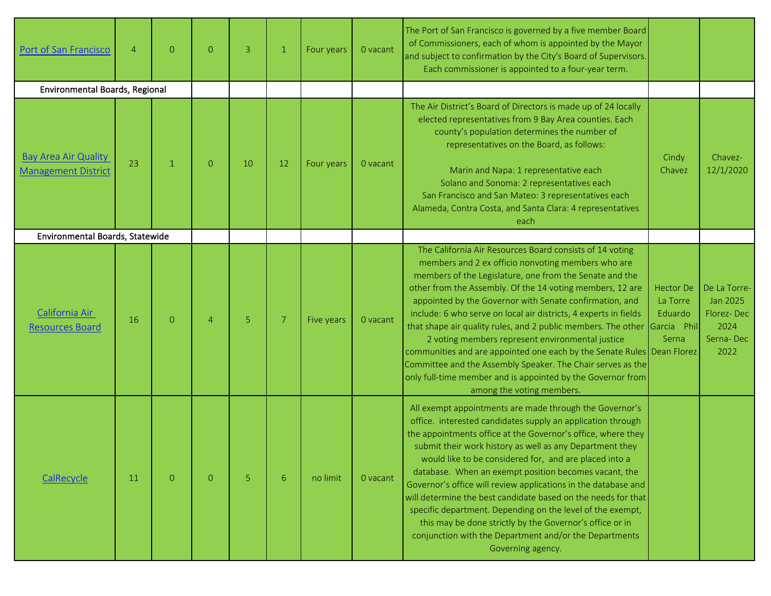| Port of San Francisco                                     | $\overline{4}$ | $\Omega$     | $\Omega$       | $\overline{3}$ | $\mathbf{1}$ | Four years | 0 vacant | The Port of San Francisco is governed by a five member Board<br>of Commissioners, each of whom is appointed by the Mayor<br>and subject to confirmation by the City's Board of Supervisors.<br>Each commissioner is appointed to a four-year term.                                                                                                                                                                                                                                                                                                                                                                                                                                                                              |                                                                 |                                                                     |
|-----------------------------------------------------------|----------------|--------------|----------------|----------------|--------------|------------|----------|---------------------------------------------------------------------------------------------------------------------------------------------------------------------------------------------------------------------------------------------------------------------------------------------------------------------------------------------------------------------------------------------------------------------------------------------------------------------------------------------------------------------------------------------------------------------------------------------------------------------------------------------------------------------------------------------------------------------------------|-----------------------------------------------------------------|---------------------------------------------------------------------|
| Environmental Boards, Regional                            |                |              |                |                |              |            |          |                                                                                                                                                                                                                                                                                                                                                                                                                                                                                                                                                                                                                                                                                                                                 |                                                                 |                                                                     |
| <b>Bay Area Air Quality</b><br><b>Management District</b> | 23             | $\mathbf{1}$ | $\overline{0}$ | 10             | 12           | Four years | 0 vacant | The Air District's Board of Directors is made up of 24 locally<br>elected representatives from 9 Bay Area counties. Each<br>county's population determines the number of<br>representatives on the Board, as follows:<br>Marin and Napa: 1 representative each<br>Solano and Sonoma: 2 representatives each<br>San Francisco and San Mateo: 3 representatives each<br>Alameda, Contra Costa, and Santa Clara: 4 representatives<br>each                                                                                                                                                                                                                                                                                         | Cindy<br>Chavez                                                 | Chavez-<br>12/1/2020                                                |
| Environmental Boards, Statewide                           |                |              |                |                |              |            |          |                                                                                                                                                                                                                                                                                                                                                                                                                                                                                                                                                                                                                                                                                                                                 |                                                                 |                                                                     |
| California Air<br><b>Resources Board</b>                  | 16             | $\Omega$     | $\overline{4}$ | 5              | 7            | Five years | 0 vacant | The California Air Resources Board consists of 14 voting<br>members and 2 ex officio nonvoting members who are<br>members of the Legislature, one from the Senate and the<br>other from the Assembly. Of the 14 voting members, 12 are<br>appointed by the Governor with Senate confirmation, and<br>include: 6 who serve on local air districts, 4 experts in fields<br>that shape air quality rules, and 2 public members. The other<br>2 voting members represent environmental justice<br>communities and are appointed one each by the Senate Rules Dean Florez<br>Committee and the Assembly Speaker. The Chair serves as the<br>only full-time member and is appointed by the Governor from<br>among the voting members. | <b>Hector De</b><br>La Torre<br>Eduardo<br>Garcia Phil<br>Serna | De La Torre-<br>Jan 2025<br>Florez-Dec<br>2024<br>Serna-Dec<br>2022 |
| CalRecycle                                                | 11             | $\Omega$     | $\Omega$       | 5              | 6            | no limit   | 0 vacant | All exempt appointments are made through the Governor's<br>office. interested candidates supply an application through<br>the appointments office at the Governor's office, where they<br>submit their work history as well as any Department they<br>would like to be considered for, and are placed into a<br>database. When an exempt position becomes vacant, the<br>Governor's office will review applications in the database and<br>will determine the best candidate based on the needs for that<br>specific department. Depending on the level of the exempt,<br>this may be done strictly by the Governor's office or in<br>conjunction with the Department and/or the Departments<br>Governing agency.               |                                                                 |                                                                     |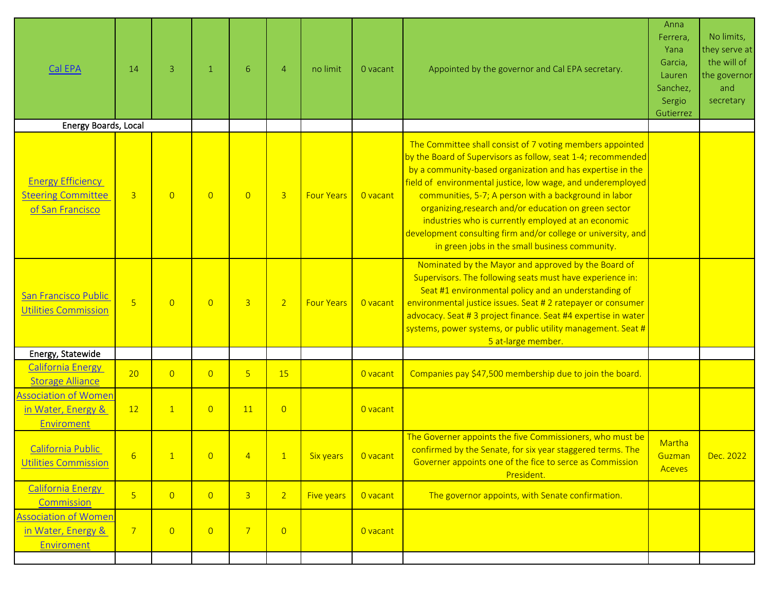| Cal EPA                                                                   | 14             | 3              | $\mathbf{1}$   | 6              | $\overline{4}$ | no limit          | 0 vacant | Appointed by the governor and Cal EPA secretary.                                                                                                                                                                                                                                                                                                                                                                                                                                                                                                   | Anna<br>Ferrera,<br>Yana<br>Garcia,<br>Lauren<br>Sanchez,<br>Sergio<br>Gutierrez | No limits,<br>they serve at<br>the will of<br>the governor<br>and<br>secretary |
|---------------------------------------------------------------------------|----------------|----------------|----------------|----------------|----------------|-------------------|----------|----------------------------------------------------------------------------------------------------------------------------------------------------------------------------------------------------------------------------------------------------------------------------------------------------------------------------------------------------------------------------------------------------------------------------------------------------------------------------------------------------------------------------------------------------|----------------------------------------------------------------------------------|--------------------------------------------------------------------------------|
| Energy Boards, Local                                                      |                |                |                |                |                |                   |          |                                                                                                                                                                                                                                                                                                                                                                                                                                                                                                                                                    |                                                                                  |                                                                                |
| <b>Energy Efficiency</b><br><b>Steering Committee</b><br>of San Francisco | $\overline{3}$ | $\overline{0}$ | $\overline{0}$ | $\overline{0}$ | $\overline{3}$ | <b>Four Years</b> | O vacant | The Committee shall consist of 7 voting members appointed<br>by the Board of Supervisors as follow, seat 1-4; recommended<br>by a community-based organization and has expertise in the<br>field of environmental justice, low wage, and underemployed<br>communities, 5-7; A person with a background in labor<br>organizing, research and/or education on green sector<br>industries who is currently employed at an economic<br>development consulting firm and/or college or university, and<br>in green jobs in the small business community. |                                                                                  |                                                                                |
| San Francisco Public<br><b>Utilities Commission</b>                       | 5 <sup>1</sup> | $\overline{0}$ | $\overline{0}$ | $\overline{3}$ | 2 <sup>1</sup> | <b>Four Years</b> | O vacant | Nominated by the Mayor and approved by the Board of<br>Supervisors. The following seats must have experience in:<br>Seat #1 environmental policy and an understanding of<br>environmental justice issues. Seat # 2 ratepayer or consumer<br>advocacy. Seat # 3 project finance. Seat #4 expertise in water<br>systems, power systems, or public utility management. Seat #<br>5 at-large member.                                                                                                                                                   |                                                                                  |                                                                                |
| Energy, Statewide                                                         |                |                |                |                |                |                   |          |                                                                                                                                                                                                                                                                                                                                                                                                                                                                                                                                                    |                                                                                  |                                                                                |
| <b>California Energy</b><br><b>Storage Alliance</b>                       | 20             | $\overline{0}$ | $\overline{0}$ | 5 <sup>1</sup> | 15             |                   | O vacant | Companies pay \$47,500 membership due to join the board.                                                                                                                                                                                                                                                                                                                                                                                                                                                                                           |                                                                                  |                                                                                |
| <b>Association of Women</b><br>in Water, Energy &<br>Enviroment           | 12             | $\mathbf{1}$   | $\overline{0}$ | 11             | $\overline{0}$ |                   | O vacant |                                                                                                                                                                                                                                                                                                                                                                                                                                                                                                                                                    |                                                                                  |                                                                                |
| California Public<br><b>Utilities Commission</b>                          | 6              |                | $\overline{0}$ | 4              |                | <b>Six years</b>  | O vacant | The Governer appoints the five Commissioners, who must be<br>confirmed by the Senate, for six year staggered terms. The<br>Governer appoints one of the fice to serce as Commission<br>President.                                                                                                                                                                                                                                                                                                                                                  | Martha<br>Guzman<br><b>Aceves</b>                                                | Dec. 2022                                                                      |
| <b>California Energy</b><br>Commission                                    | 5 <sup>1</sup> | $\overline{0}$ | $\overline{0}$ | $\overline{3}$ | 2 <sup>1</sup> | Five years        | O vacant | The governor appoints, with Senate confirmation.                                                                                                                                                                                                                                                                                                                                                                                                                                                                                                   |                                                                                  |                                                                                |
| <b>Association of Women</b><br>in Water, Energy &<br>Enviroment           | $\overline{7}$ | $\overline{0}$ | $\overline{0}$ | $\overline{7}$ | $\overline{0}$ |                   | O vacant |                                                                                                                                                                                                                                                                                                                                                                                                                                                                                                                                                    |                                                                                  |                                                                                |